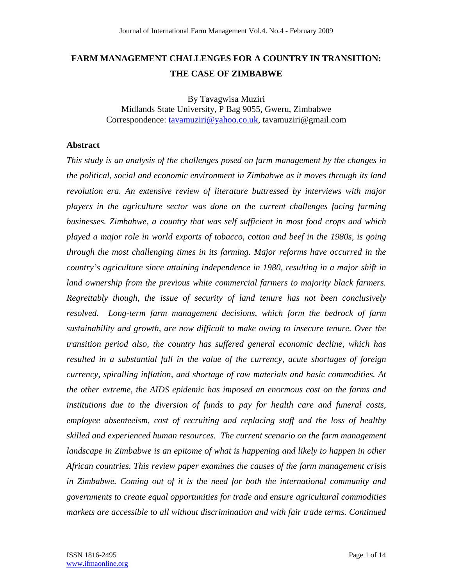# **FARM MANAGEMENT CHALLENGES FOR A COUNTRY IN TRANSITION: THE CASE OF ZIMBABWE**

By Tavagwisa Muziri Midlands State University, P Bag 9055, Gweru, Zimbabwe Correspondence: tavamuziri@yahoo.co.uk, tavamuziri@gmail.com

### **Abstract**

*This study is an analysis of the challenges posed on farm management by the changes in the political, social and economic environment in Zimbabwe as it moves through its land revolution era. An extensive review of literature buttressed by interviews with major players in the agriculture sector was done on the current challenges facing farming businesses. Zimbabwe, a country that was self sufficient in most food crops and which played a major role in world exports of tobacco, cotton and beef in the 1980s, is going through the most challenging times in its farming. Major reforms have occurred in the country's agriculture since attaining independence in 1980, resulting in a major shift in land ownership from the previous white commercial farmers to majority black farmers. Regrettably though, the issue of security of land tenure has not been conclusively resolved. Long-term farm management decisions, which form the bedrock of farm sustainability and growth, are now difficult to make owing to insecure tenure. Over the transition period also, the country has suffered general economic decline, which has resulted in a substantial fall in the value of the currency, acute shortages of foreign currency, spiralling inflation, and shortage of raw materials and basic commodities. At the other extreme, the AIDS epidemic has imposed an enormous cost on the farms and institutions due to the diversion of funds to pay for health care and funeral costs, employee absenteeism, cost of recruiting and replacing staff and the loss of healthy skilled and experienced human resources. The current scenario on the farm management landscape in Zimbabwe is an epitome of what is happening and likely to happen in other African countries. This review paper examines the causes of the farm management crisis in Zimbabwe. Coming out of it is the need for both the international community and governments to create equal opportunities for trade and ensure agricultural commodities markets are accessible to all without discrimination and with fair trade terms. Continued*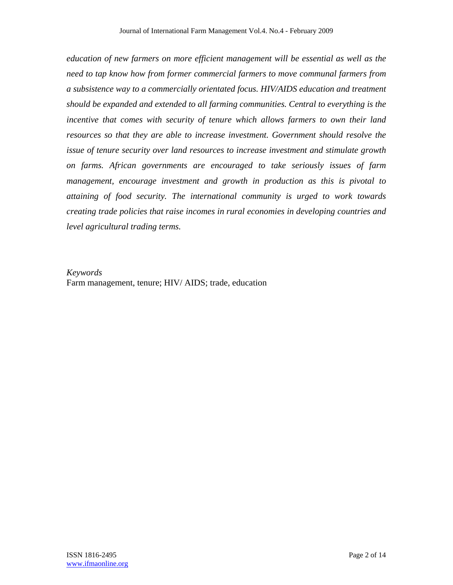*education of new farmers on more efficient management will be essential as well as the need to tap know how from former commercial farmers to move communal farmers from a subsistence way to a commercially orientated focus. HIV/AIDS education and treatment should be expanded and extended to all farming communities. Central to everything is the incentive that comes with security of tenure which allows farmers to own their land resources so that they are able to increase investment. Government should resolve the issue of tenure security over land resources to increase investment and stimulate growth on farms. African governments are encouraged to take seriously issues of farm management, encourage investment and growth in production as this is pivotal to attaining of food security. The international community is urged to work towards creating trade policies that raise incomes in rural economies in developing countries and level agricultural trading terms.* 

*Keywords*  Farm management, tenure; HIV/ AIDS; trade, education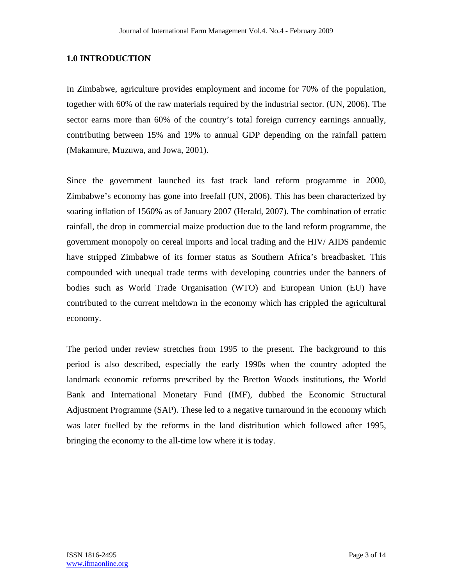# **1.0 INTRODUCTION**

In Zimbabwe, agriculture provides employment and income for 70% of the population, together with 60% of the raw materials required by the industrial sector. (UN, 2006). The sector earns more than 60% of the country's total foreign currency earnings annually, contributing between 15% and 19% to annual GDP depending on the rainfall pattern (Makamure, Muzuwa, and Jowa, 2001).

Since the government launched its fast track land reform programme in 2000, Zimbabwe's economy has gone into freefall (UN, 2006). This has been characterized by soaring inflation of 1560% as of January 2007 (Herald, 2007). The combination of erratic rainfall, the drop in commercial maize production due to the land reform programme, the government monopoly on cereal imports and local trading and the HIV/ AIDS pandemic have stripped Zimbabwe of its former status as Southern Africa's breadbasket. This compounded with unequal trade terms with developing countries under the banners of bodies such as World Trade Organisation (WTO) and European Union (EU) have contributed to the current meltdown in the economy which has crippled the agricultural economy.

The period under review stretches from 1995 to the present. The background to this period is also described, especially the early 1990s when the country adopted the landmark economic reforms prescribed by the Bretton Woods institutions, the World Bank and International Monetary Fund (IMF), dubbed the Economic Structural Adjustment Programme (SAP). These led to a negative turnaround in the economy which was later fuelled by the reforms in the land distribution which followed after 1995, bringing the economy to the all-time low where it is today.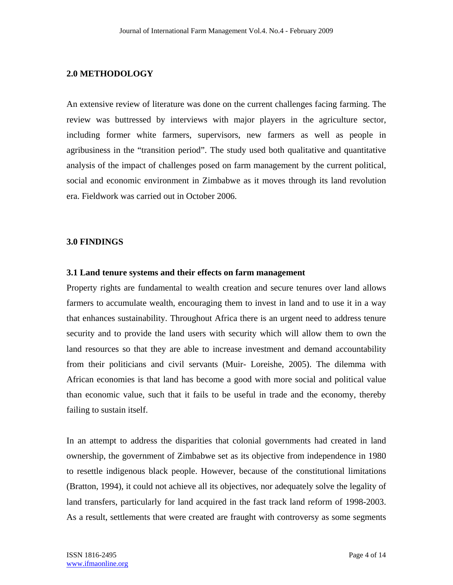# **2.0 METHODOLOGY**

An extensive review of literature was done on the current challenges facing farming. The review was buttressed by interviews with major players in the agriculture sector, including former white farmers, supervisors, new farmers as well as people in agribusiness in the "transition period". The study used both qualitative and quantitative analysis of the impact of challenges posed on farm management by the current political, social and economic environment in Zimbabwe as it moves through its land revolution era. Fieldwork was carried out in October 2006.

### **3.0 FINDINGS**

#### **3.1 Land tenure systems and their effects on farm management**

Property rights are fundamental to wealth creation and secure tenures over land allows farmers to accumulate wealth, encouraging them to invest in land and to use it in a way that enhances sustainability. Throughout Africa there is an urgent need to address tenure security and to provide the land users with security which will allow them to own the land resources so that they are able to increase investment and demand accountability from their politicians and civil servants (Muir- Loreishe, 2005). The dilemma with African economies is that land has become a good with more social and political value than economic value, such that it fails to be useful in trade and the economy, thereby failing to sustain itself.

In an attempt to address the disparities that colonial governments had created in land ownership, the government of Zimbabwe set as its objective from independence in 1980 to resettle indigenous black people. However, because of the constitutional limitations (Bratton, 1994), it could not achieve all its objectives, nor adequately solve the legality of land transfers, particularly for land acquired in the fast track land reform of 1998-2003. As a result, settlements that were created are fraught with controversy as some segments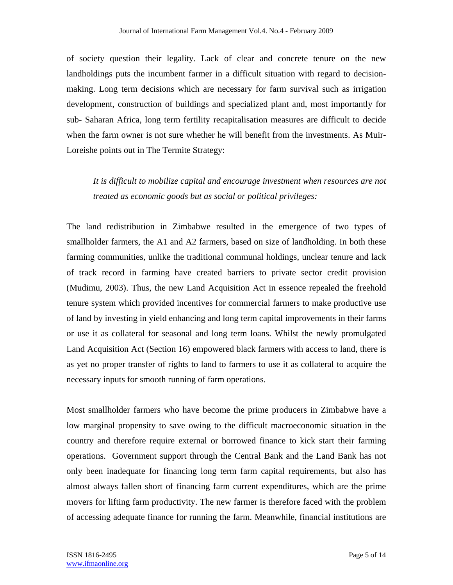of society question their legality. Lack of clear and concrete tenure on the new landholdings puts the incumbent farmer in a difficult situation with regard to decisionmaking. Long term decisions which are necessary for farm survival such as irrigation development, construction of buildings and specialized plant and, most importantly for sub- Saharan Africa, long term fertility recapitalisation measures are difficult to decide when the farm owner is not sure whether he will benefit from the investments. As Muir-Loreishe points out in The Termite Strategy:

*It is difficult to mobilize capital and encourage investment when resources are not treated as economic goods but as social or political privileges:* 

The land redistribution in Zimbabwe resulted in the emergence of two types of smallholder farmers, the A1 and A2 farmers, based on size of landholding. In both these farming communities, unlike the traditional communal holdings, unclear tenure and lack of track record in farming have created barriers to private sector credit provision (Mudimu, 2003). Thus, the new Land Acquisition Act in essence repealed the freehold tenure system which provided incentives for commercial farmers to make productive use of land by investing in yield enhancing and long term capital improvements in their farms or use it as collateral for seasonal and long term loans. Whilst the newly promulgated Land Acquisition Act (Section 16) empowered black farmers with access to land, there is as yet no proper transfer of rights to land to farmers to use it as collateral to acquire the necessary inputs for smooth running of farm operations.

Most smallholder farmers who have become the prime producers in Zimbabwe have a low marginal propensity to save owing to the difficult macroeconomic situation in the country and therefore require external or borrowed finance to kick start their farming operations. Government support through the Central Bank and the Land Bank has not only been inadequate for financing long term farm capital requirements, but also has almost always fallen short of financing farm current expenditures, which are the prime movers for lifting farm productivity. The new farmer is therefore faced with the problem of accessing adequate finance for running the farm. Meanwhile, financial institutions are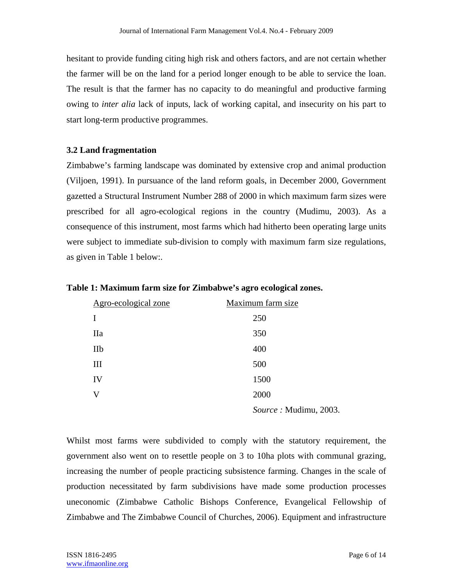hesitant to provide funding citing high risk and others factors, and are not certain whether the farmer will be on the land for a period longer enough to be able to service the loan. The result is that the farmer has no capacity to do meaningful and productive farming owing to *inter alia* lack of inputs, lack of working capital, and insecurity on his part to start long-term productive programmes.

# **3.2 Land fragmentation**

Zimbabwe's farming landscape was dominated by extensive crop and animal production (Viljoen, 1991). In pursuance of the land reform goals, in December 2000, Government gazetted a Structural Instrument Number 288 of 2000 in which maximum farm sizes were prescribed for all agro-ecological regions in the country (Mudimu, 2003). As a consequence of this instrument, most farms which had hitherto been operating large units were subject to immediate sub-division to comply with maximum farm size regulations, as given in Table 1 below:.

|  |  |  |  | Table 1: Maximum farm size for Zimbabwe's agro ecological zones. |  |
|--|--|--|--|------------------------------------------------------------------|--|
|  |  |  |  |                                                                  |  |

| Agro-ecological zone | Maximum farm size     |
|----------------------|-----------------------|
| I                    | 250                   |
| <b>IIa</b>           | 350                   |
| IIb                  | 400                   |
| Ш                    | 500                   |
| IV                   | 1500                  |
| V                    | 2000                  |
|                      | Source: Mudimu, 2003. |

Whilst most farms were subdivided to comply with the statutory requirement, the government also went on to resettle people on 3 to 10ha plots with communal grazing, increasing the number of people practicing subsistence farming. Changes in the scale of production necessitated by farm subdivisions have made some production processes uneconomic (Zimbabwe Catholic Bishops Conference, Evangelical Fellowship of Zimbabwe and The Zimbabwe Council of Churches, 2006). Equipment and infrastructure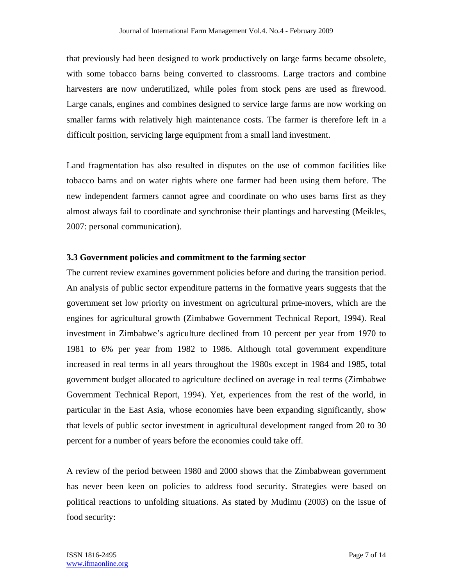that previously had been designed to work productively on large farms became obsolete, with some tobacco barns being converted to classrooms. Large tractors and combine harvesters are now underutilized, while poles from stock pens are used as firewood. Large canals, engines and combines designed to service large farms are now working on smaller farms with relatively high maintenance costs. The farmer is therefore left in a difficult position, servicing large equipment from a small land investment.

Land fragmentation has also resulted in disputes on the use of common facilities like tobacco barns and on water rights where one farmer had been using them before. The new independent farmers cannot agree and coordinate on who uses barns first as they almost always fail to coordinate and synchronise their plantings and harvesting (Meikles, 2007: personal communication).

# **3.3 Government policies and commitment to the farming sector**

The current review examines government policies before and during the transition period. An analysis of public sector expenditure patterns in the formative years suggests that the government set low priority on investment on agricultural prime-movers, which are the engines for agricultural growth (Zimbabwe Government Technical Report, 1994). Real investment in Zimbabwe's agriculture declined from 10 percent per year from 1970 to 1981 to 6% per year from 1982 to 1986. Although total government expenditure increased in real terms in all years throughout the 1980s except in 1984 and 1985, total government budget allocated to agriculture declined on average in real terms (Zimbabwe Government Technical Report, 1994). Yet, experiences from the rest of the world, in particular in the East Asia, whose economies have been expanding significantly, show that levels of public sector investment in agricultural development ranged from 20 to 30 percent for a number of years before the economies could take off.

A review of the period between 1980 and 2000 shows that the Zimbabwean government has never been keen on policies to address food security. Strategies were based on political reactions to unfolding situations. As stated by Mudimu (2003) on the issue of food security: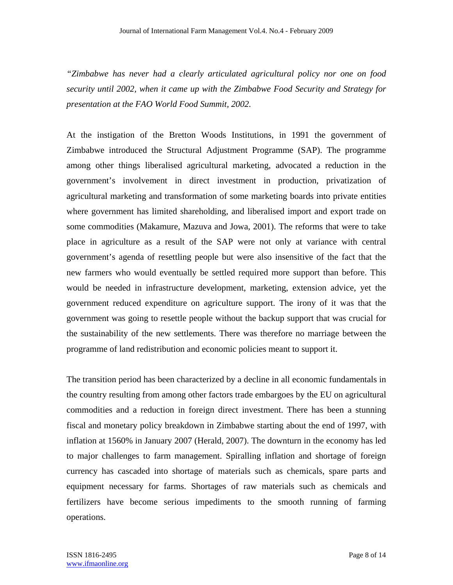*"Zimbabwe has never had a clearly articulated agricultural policy nor one on food security until 2002, when it came up with the Zimbabwe Food Security and Strategy for presentation at the FAO World Food Summit, 2002.* 

At the instigation of the Bretton Woods Institutions, in 1991 the government of Zimbabwe introduced the Structural Adjustment Programme (SAP). The programme among other things liberalised agricultural marketing, advocated a reduction in the government's involvement in direct investment in production, privatization of agricultural marketing and transformation of some marketing boards into private entities where government has limited shareholding, and liberalised import and export trade on some commodities (Makamure, Mazuva and Jowa, 2001). The reforms that were to take place in agriculture as a result of the SAP were not only at variance with central government's agenda of resettling people but were also insensitive of the fact that the new farmers who would eventually be settled required more support than before. This would be needed in infrastructure development, marketing, extension advice, yet the government reduced expenditure on agriculture support. The irony of it was that the government was going to resettle people without the backup support that was crucial for the sustainability of the new settlements. There was therefore no marriage between the programme of land redistribution and economic policies meant to support it.

The transition period has been characterized by a decline in all economic fundamentals in the country resulting from among other factors trade embargoes by the EU on agricultural commodities and a reduction in foreign direct investment. There has been a stunning fiscal and monetary policy breakdown in Zimbabwe starting about the end of 1997, with inflation at 1560% in January 2007 (Herald, 2007). The downturn in the economy has led to major challenges to farm management. Spiralling inflation and shortage of foreign currency has cascaded into shortage of materials such as chemicals, spare parts and equipment necessary for farms. Shortages of raw materials such as chemicals and fertilizers have become serious impediments to the smooth running of farming operations.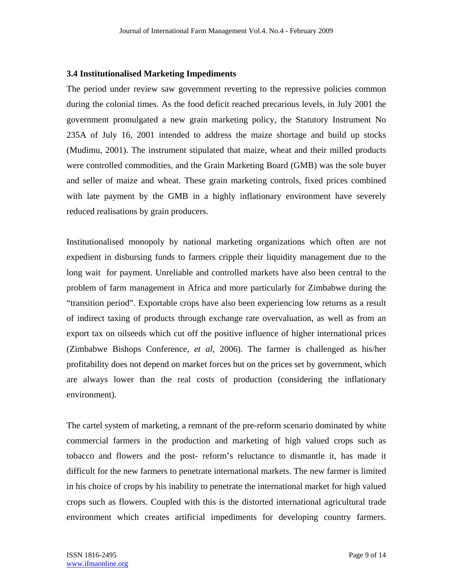#### **3.4 Institutionalised Marketing Impediments**

The period under review saw government reverting to the repressive policies common during the colonial times. As the food deficit reached precarious levels, in July 2001 the government promulgated a new grain marketing policy, the Statutory Instrument No 235A of July 16, 2001 intended to address the maize shortage and build up stocks (Mudimu, 2001). The instrument stipulated that maize, wheat and their milled products were controlled commodities, and the Grain Marketing Board (GMB) was the sole buyer and seller of maize and wheat. These grain marketing controls, fixed prices combined with late payment by the GMB in a highly inflationary environment have severely reduced realisations by grain producers.

Institutionalised monopoly by national marketing organizations which often are not expedient in disbursing funds to farmers cripple their liquidity management due to the long wait for payment. Unreliable and controlled markets have also been central to the problem of farm management in Africa and more particularly for Zimbabwe during the "transition period". Exportable crops have also been experiencing low returns as a result of indirect taxing of products through exchange rate overvaluation, as well as from an export tax on oilseeds which cut off the positive influence of higher international prices (Zimbabwe Bishops Conference, *et al*, 2006). The farmer is challenged as his/her profitability does not depend on market forces but on the prices set by government, which are always lower than the real costs of production (considering the inflationary environment).

The cartel system of marketing, a remnant of the pre-reform scenario dominated by white commercial farmers in the production and marketing of high valued crops such as tobacco and flowers and the post- reform's reluctance to dismantle it, has made it difficult for the new farmers to penetrate international markets. The new farmer is limited in his choice of crops by his inability to penetrate the international market for high valued crops such as flowers. Coupled with this is the distorted international agricultural trade environment which creates artificial impediments for developing country farmers.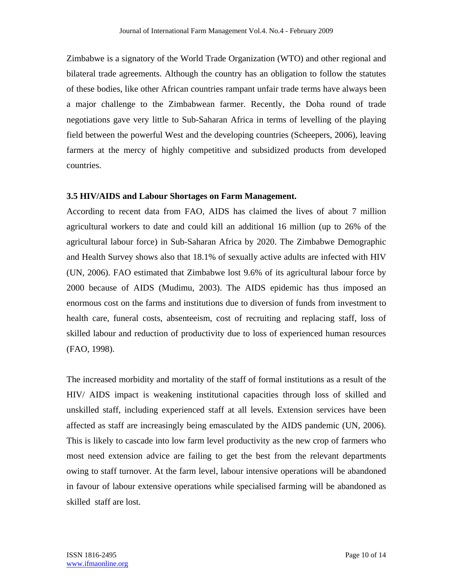Zimbabwe is a signatory of the World Trade Organization (WTO) and other regional and bilateral trade agreements. Although the country has an obligation to follow the statutes of these bodies, like other African countries rampant unfair trade terms have always been a major challenge to the Zimbabwean farmer. Recently, the Doha round of trade negotiations gave very little to Sub-Saharan Africa in terms of levelling of the playing field between the powerful West and the developing countries (Scheepers, 2006), leaving farmers at the mercy of highly competitive and subsidized products from developed countries.

# **3.5 HIV/AIDS and Labour Shortages on Farm Management.**

According to recent data from FAO, AIDS has claimed the lives of about 7 million agricultural workers to date and could kill an additional 16 million (up to 26% of the agricultural labour force) in Sub-Saharan Africa by 2020. The Zimbabwe Demographic and Health Survey shows also that 18.1% of sexually active adults are infected with HIV (UN, 2006). FAO estimated that Zimbabwe lost 9.6% of its agricultural labour force by 2000 because of AIDS (Mudimu, 2003). The AIDS epidemic has thus imposed an enormous cost on the farms and institutions due to diversion of funds from investment to health care, funeral costs, absenteeism, cost of recruiting and replacing staff, loss of skilled labour and reduction of productivity due to loss of experienced human resources (FAO, 1998).

The increased morbidity and mortality of the staff of formal institutions as a result of the HIV/ AIDS impact is weakening institutional capacities through loss of skilled and unskilled staff, including experienced staff at all levels. Extension services have been affected as staff are increasingly being emasculated by the AIDS pandemic (UN, 2006). This is likely to cascade into low farm level productivity as the new crop of farmers who most need extension advice are failing to get the best from the relevant departments owing to staff turnover. At the farm level, labour intensive operations will be abandoned in favour of labour extensive operations while specialised farming will be abandoned as skilled staff are lost.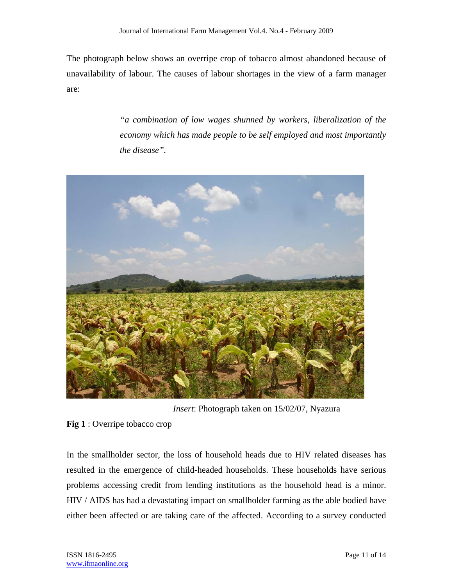The photograph below shows an overripe crop of tobacco almost abandoned because of unavailability of labour. The causes of labour shortages in the view of a farm manager are:

> *"a combination of low wages shunned by workers, liberalization of the economy which has made people to be self employed and most importantly the disease".*



*Insert*: Photograph taken on 15/02/07, Nyazura

**Fig 1** : Overripe tobacco crop

In the smallholder sector, the loss of household heads due to HIV related diseases has resulted in the emergence of child-headed households. These households have serious problems accessing credit from lending institutions as the household head is a minor. HIV / AIDS has had a devastating impact on smallholder farming as the able bodied have either been affected or are taking care of the affected. According to a survey conducted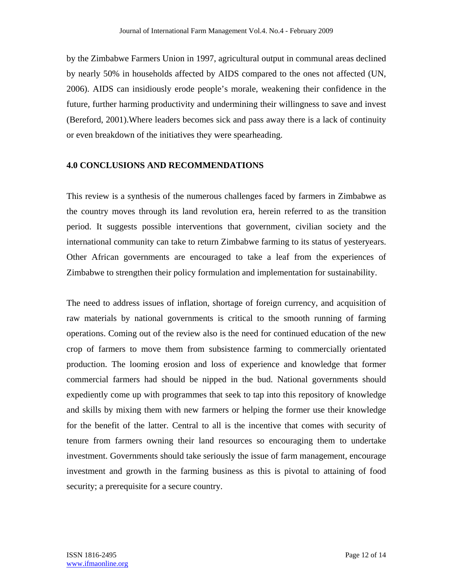by the Zimbabwe Farmers Union in 1997, agricultural output in communal areas declined by nearly 50% in households affected by AIDS compared to the ones not affected (UN, 2006). AIDS can insidiously erode people's morale, weakening their confidence in the future, further harming productivity and undermining their willingness to save and invest (Bereford, 2001).Where leaders becomes sick and pass away there is a lack of continuity or even breakdown of the initiatives they were spearheading.

### **4.0 CONCLUSIONS AND RECOMMENDATIONS**

This review is a synthesis of the numerous challenges faced by farmers in Zimbabwe as the country moves through its land revolution era, herein referred to as the transition period. It suggests possible interventions that government, civilian society and the international community can take to return Zimbabwe farming to its status of yesteryears. Other African governments are encouraged to take a leaf from the experiences of Zimbabwe to strengthen their policy formulation and implementation for sustainability.

The need to address issues of inflation, shortage of foreign currency, and acquisition of raw materials by national governments is critical to the smooth running of farming operations. Coming out of the review also is the need for continued education of the new crop of farmers to move them from subsistence farming to commercially orientated production. The looming erosion and loss of experience and knowledge that former commercial farmers had should be nipped in the bud. National governments should expediently come up with programmes that seek to tap into this repository of knowledge and skills by mixing them with new farmers or helping the former use their knowledge for the benefit of the latter. Central to all is the incentive that comes with security of tenure from farmers owning their land resources so encouraging them to undertake investment. Governments should take seriously the issue of farm management, encourage investment and growth in the farming business as this is pivotal to attaining of food security; a prerequisite for a secure country.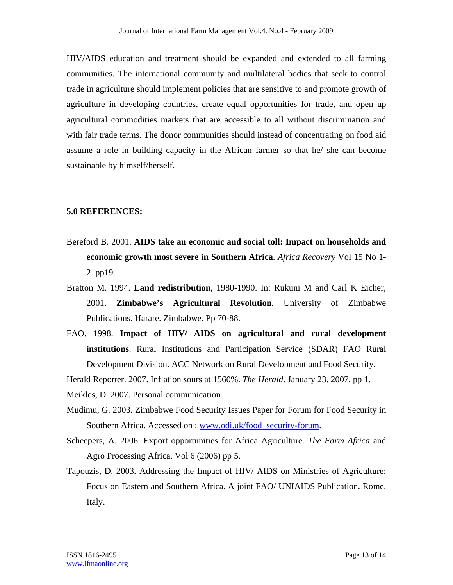HIV/AIDS education and treatment should be expanded and extended to all farming communities. The international community and multilateral bodies that seek to control trade in agriculture should implement policies that are sensitive to and promote growth of agriculture in developing countries, create equal opportunities for trade, and open up agricultural commodities markets that are accessible to all without discrimination and with fair trade terms. The donor communities should instead of concentrating on food aid assume a role in building capacity in the African farmer so that he/ she can become sustainable by himself/herself.

#### **5.0 REFERENCES:**

- Bereford B. 2001. **AIDS take an economic and social toll: Impact on households and economic growth most severe in Southern Africa**. *Africa Recovery* Vol 15 No 1- 2. pp19.
- Bratton M. 1994. **Land redistribution**, 1980-1990. In: Rukuni M and Carl K Eicher, 2001. **Zimbabwe's Agricultural Revolution**. University of Zimbabwe Publications. Harare. Zimbabwe. Pp 70-88.
- FAO. 1998. **Impact of HIV/ AIDS on agricultural and rural development institutions**. Rural Institutions and Participation Service (SDAR) FAO Rural Development Division. ACC Network on Rural Development and Food Security.

Herald Reporter. 2007. Inflation sours at 1560%. *The Herald*. January 23. 2007. pp 1.

- Meikles, D. 2007. Personal communication
- Mudimu, G. 2003. Zimbabwe Food Security Issues Paper for Forum for Food Security in Southern Africa. Accessed on : www.odi.uk/food\_security-forum.
- Scheepers, A. 2006. Export opportunities for Africa Agriculture. *The Farm Africa* and Agro Processing Africa. Vol 6 (2006) pp 5.
- Tapouzis, D. 2003. Addressing the Impact of HIV/ AIDS on Ministries of Agriculture: Focus on Eastern and Southern Africa. A joint FAO/ UNIAIDS Publication. Rome. Italy.